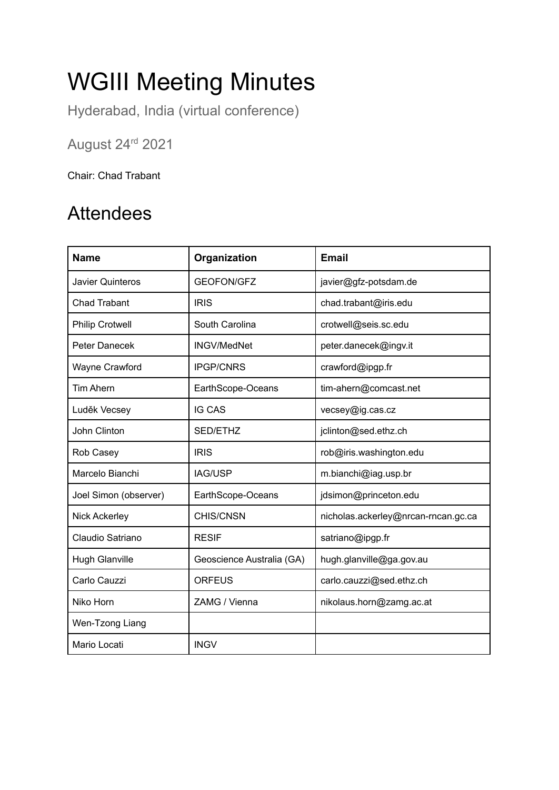# WGIII Meeting Minutes

Hyderabad, India (virtual conference)

August 24rd 2021

Chair: Chad Trabant

### Attendees

| <b>Name</b>            | Organization              | <b>Email</b>                        |
|------------------------|---------------------------|-------------------------------------|
| Javier Quinteros       | <b>GEOFON/GFZ</b>         | javier@gfz-potsdam.de               |
| <b>Chad Trabant</b>    | <b>IRIS</b>               | chad.trabant@iris.edu               |
| <b>Philip Crotwell</b> | South Carolina            | crotwell@seis.sc.edu                |
| Peter Danecek          | <b>INGV/MedNet</b>        | peter.danecek@ingv.it               |
| Wayne Crawford         | <b>IPGP/CNRS</b>          | crawford@ipgp.fr                    |
| <b>Tim Ahern</b>       | EarthScope-Oceans         | tim-ahern@comcast.net               |
| Luděk Vecsey           | <b>IG CAS</b>             | vecsey@ig.cas.cz                    |
| John Clinton           | SED/ETHZ                  | jclinton@sed.ethz.ch                |
| Rob Casey              | <b>IRIS</b>               | rob@iris.washington.edu             |
| Marcelo Bianchi        | <b>IAG/USP</b>            | m.bianchi@iag.usp.br                |
| Joel Simon (observer)  | EarthScope-Oceans         | jdsimon@princeton.edu               |
| <b>Nick Ackerley</b>   | CHIS/CNSN                 | nicholas.ackerley@nrcan-rncan.gc.ca |
| Claudio Satriano       | <b>RESIF</b>              | satriano@ipgp.fr                    |
| <b>Hugh Glanville</b>  | Geoscience Australia (GA) | hugh.glanville@ga.gov.au            |
| Carlo Cauzzi           | <b>ORFEUS</b>             | carlo.cauzzi@sed.ethz.ch            |
| Niko Horn              | ZAMG / Vienna             | nikolaus.horn@zamg.ac.at            |
| Wen-Tzong Liang        |                           |                                     |
| Mario Locati           | <b>INGV</b>               |                                     |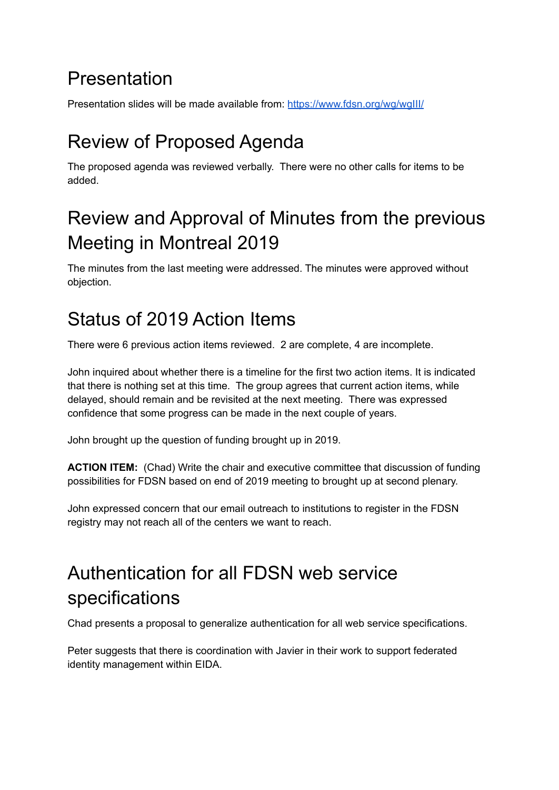### Presentation

Presentation slides will be made available from: <https://www.fdsn.org/wg/wgIII/>

## Review of Proposed Agenda

The proposed agenda was reviewed verbally. There were no other calls for items to be added.

### Review and Approval of Minutes from the previous Meeting in Montreal 2019

The minutes from the last meeting were addressed. The minutes were approved without objection.

### Status of 2019 Action Items

There were 6 previous action items reviewed. 2 are complete, 4 are incomplete.

John inquired about whether there is a timeline for the first two action items. It is indicated that there is nothing set at this time. The group agrees that current action items, while delayed, should remain and be revisited at the next meeting. There was expressed confidence that some progress can be made in the next couple of years.

John brought up the question of funding brought up in 2019.

**ACTION ITEM:** (Chad) Write the chair and executive committee that discussion of funding possibilities for FDSN based on end of 2019 meeting to brought up at second plenary.

John expressed concern that our email outreach to institutions to register in the FDSN registry may not reach all of the centers we want to reach.

## Authentication for all FDSN web service specifications

Chad presents a proposal to generalize authentication for all web service specifications.

Peter suggests that there is coordination with Javier in their work to support federated identity management within EIDA.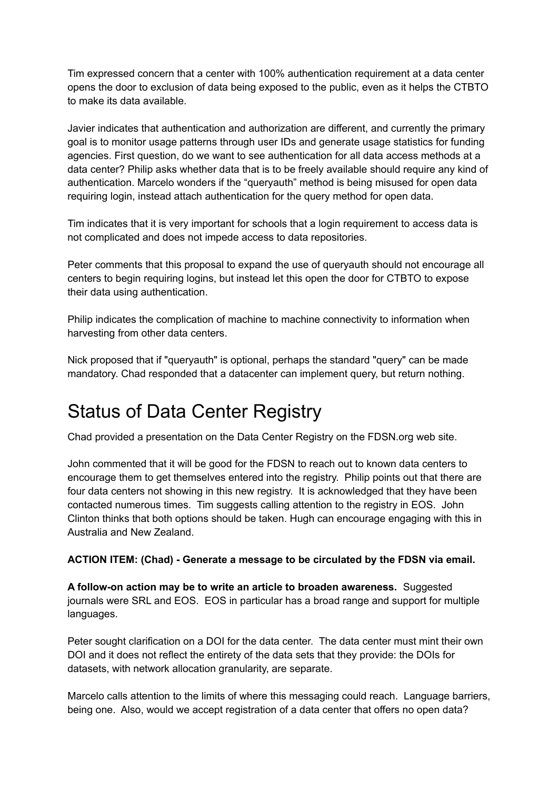Tim expressed concern that a center with 100% authentication requirement at a data center opens the door to exclusion of data being exposed to the public, even as it helps the CTBTO to make its data available.

Javier indicates that authentication and authorization are different, and currently the primary goal is to monitor usage patterns through user IDs and generate usage statistics for funding agencies. First question, do we want to see authentication for all data access methods at a data center? Philip asks whether data that is to be freely available should require any kind of authentication. Marcelo wonders if the "queryauth" method is being misused for open data requiring login, instead attach authentication for the query method for open data.

Tim indicates that it is very important for schools that a login requirement to access data is not complicated and does not impede access to data repositories.

Peter comments that this proposal to expand the use of queryauth should not encourage all centers to begin requiring logins, but instead let this open the door for CTBTO to expose their data using authentication.

Philip indicates the complication of machine to machine connectivity to information when harvesting from other data centers.

Nick proposed that if "queryauth" is optional, perhaps the standard "query" can be made mandatory. Chad responded that a datacenter can implement query, but return nothing.

### Status of Data Center Registry

Chad provided a presentation on the Data Center Registry on the FDSN.org web site.

John commented that it will be good for the FDSN to reach out to known data centers to encourage them to get themselves entered into the registry. Philip points out that there are four data centers not showing in this new registry. It is acknowledged that they have been contacted numerous times. Tim suggests calling attention to the registry in EOS. John Clinton thinks that both options should be taken. Hugh can encourage engaging with this in Australia and New Zealand.

#### **ACTION ITEM: (Chad) - Generate a message to be circulated by the FDSN via email.**

**A follow-on action may be to write an article to broaden awareness.** Suggested journals were SRL and EOS. EOS in particular has a broad range and support for multiple languages.

Peter sought clarification on a DOI for the data center. The data center must mint their own DOI and it does not reflect the entirety of the data sets that they provide: the DOIs for datasets, with network allocation granularity, are separate.

Marcelo calls attention to the limits of where this messaging could reach. Language barriers, being one. Also, would we accept registration of a data center that offers no open data?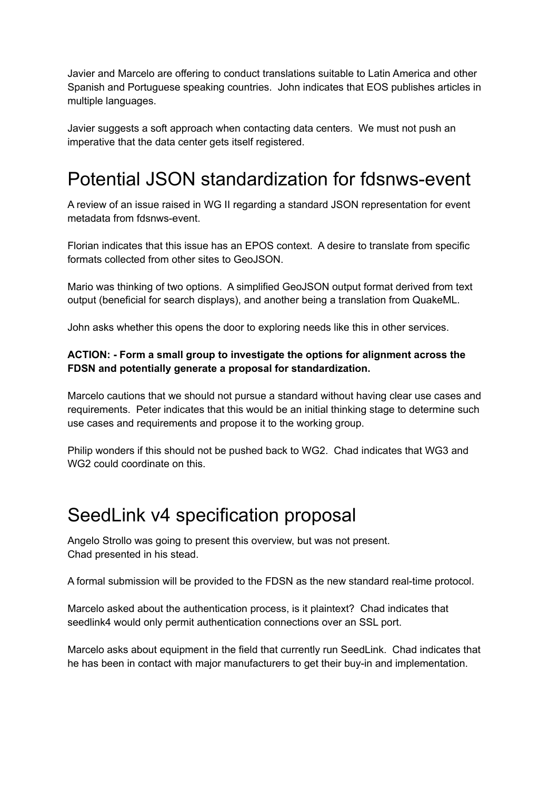Javier and Marcelo are offering to conduct translations suitable to Latin America and other Spanish and Portuguese speaking countries. John indicates that EOS publishes articles in multiple languages.

Javier suggests a soft approach when contacting data centers. We must not push an imperative that the data center gets itself registered.

### Potential JSON standardization for fdsnws-event

A review of an issue raised in WG II regarding a standard JSON representation for event metadata from fdsnws-event.

Florian indicates that this issue has an EPOS context. A desire to translate from specific formats collected from other sites to GeoJSON.

Mario was thinking of two options. A simplified GeoJSON output format derived from text output (beneficial for search displays), and another being a translation from QuakeML.

John asks whether this opens the door to exploring needs like this in other services.

#### **ACTION: - Form a small group to investigate the options for alignment across the FDSN and potentially generate a proposal for standardization.**

Marcelo cautions that we should not pursue a standard without having clear use cases and requirements. Peter indicates that this would be an initial thinking stage to determine such use cases and requirements and propose it to the working group.

Philip wonders if this should not be pushed back to WG2. Chad indicates that WG3 and WG<sub>2</sub> could coordinate on this.

### SeedLink v4 specification proposal

Angelo Strollo was going to present this overview, but was not present. Chad presented in his stead.

A formal submission will be provided to the FDSN as the new standard real-time protocol.

Marcelo asked about the authentication process, is it plaintext? Chad indicates that seedlink4 would only permit authentication connections over an SSL port.

Marcelo asks about equipment in the field that currently run SeedLink. Chad indicates that he has been in contact with major manufacturers to get their buy-in and implementation.